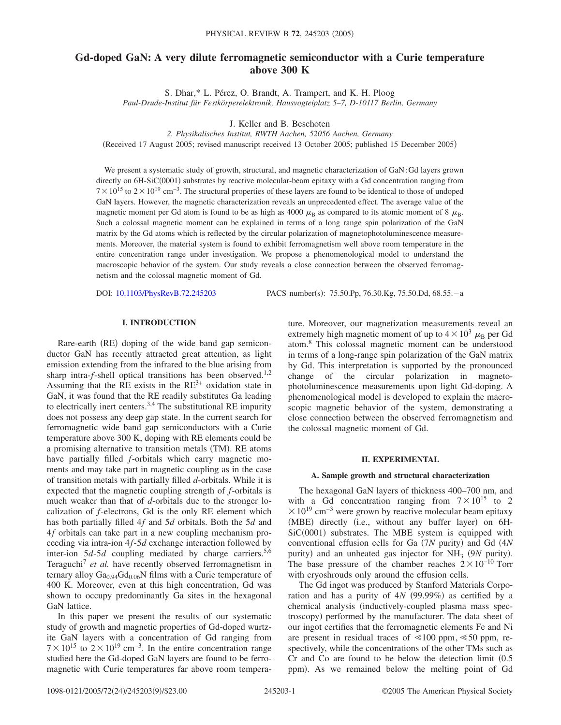# **Gd-doped GaN: A very dilute ferromagnetic semiconductor with a Curie temperature above 300 K**

S. Dhar,\* L. Pérez, O. Brandt, A. Trampert, and K. H. Ploog

*Paul-Drude-Institut für Festkörperelektronik, Hausvogteiplatz 5–7, D-10117 Berlin, Germany*

J. Keller and B. Beschoten

*2. Physikalisches Institut, RWTH Aachen, 52056 Aachen, Germany*

(Received 17 August 2005; revised manuscript received 13 October 2005; published 15 December 2005)

We present a systematic study of growth, structural, and magnetic characterization of GaN: Gd layers grown directly on 6H-SiC(0001) substrates by reactive molecular-beam epitaxy with a Gd concentration ranging from  $7 \times 10^{15}$  to 2 × 10<sup>19</sup> cm<sup>-3</sup>. The structural properties of these layers are found to be identical to those of undoped GaN layers. However, the magnetic characterization reveals an unprecedented effect. The average value of the magnetic moment per Gd atom is found to be as high as 4000  $\mu$ <sub>B</sub> as compared to its atomic moment of 8  $\mu$ <sub>B</sub>. Such a colossal magnetic moment can be explained in terms of a long range spin polarization of the GaN matrix by the Gd atoms which is reflected by the circular polarization of magnetophotoluminescence measurements. Moreover, the material system is found to exhibit ferromagnetism well above room temperature in the entire concentration range under investigation. We propose a phenomenological model to understand the macroscopic behavior of the system. Our study reveals a close connection between the observed ferromagnetism and the colossal magnetic moment of Gd.

DOI: [10.1103/PhysRevB.72.245203](http://dx.doi.org/10.1103/PhysRevB.72.245203)

PACS number(s):  $75.50 \text{ Pp}$ ,  $76.30 \text{ kg}$ ,  $75.50 \text{ Dd}$ ,  $68.55 - a$ 

## **I. INTRODUCTION**

Rare-earth (RE) doping of the wide band gap semiconductor GaN has recently attracted great attention, as light emission extending from the infrared to the blue arising from sharp intra-*f*-shell optical transitions has been observed.<sup>1,2</sup> Assuming that the RE exists in the  $RE^{3+}$  oxidation state in GaN, it was found that the RE readily substitutes Ga leading to electrically inert centers.<sup>3,4</sup> The substitutional RE impurity does not possess any deep gap state. In the current search for ferromagnetic wide band gap semiconductors with a Curie temperature above 300 K, doping with RE elements could be a promising alternative to transition metals (TM). RE atoms have partially filled *f*-orbitals which carry magnetic moments and may take part in magnetic coupling as in the case of transition metals with partially filled *d*-orbitals. While it is expected that the magnetic coupling strength of *f*-orbitals is much weaker than that of *d*-orbitals due to the stronger localization of *f*-electrons, Gd is the only RE element which has both partially filled 4*f* and 5*d* orbitals. Both the 5*d* and 4*f* orbitals can take part in a new coupling mechanism proceeding via intra-ion 4*f*-5*d* exchange interaction followed by inter-ion  $5d-5d$  coupling mediated by charge carriers.<sup>5,6</sup> Teraguchi<sup>7</sup> et al. have recently observed ferromagnetism in ternary alloy  $Ga_{0.94}Gd_{0.06}N$  films with a Curie temperature of 400 K. Moreover, even at this high concentration, Gd was shown to occupy predominantly Ga sites in the hexagonal GaN lattice.

In this paper we present the results of our systematic study of growth and magnetic properties of Gd-doped wurtzite GaN layers with a concentration of Gd ranging from  $7 \times 10^{15}$  to  $2 \times 10^{19}$  cm<sup>-3</sup>. In the entire concentration range studied here the Gd-doped GaN layers are found to be ferromagnetic with Curie temperatures far above room tempera-

ture. Moreover, our magnetization measurements reveal an extremely high magnetic moment of up to  $4 \times 10^3$   $\mu_B$  per Gd atom.8 This colossal magnetic moment can be understood in terms of a long-range spin polarization of the GaN matrix by Gd. This interpretation is supported by the pronounced change of the circular polarization in magnetophotoluminescence measurements upon light Gd-doping. A phenomenological model is developed to explain the macroscopic magnetic behavior of the system, demonstrating a close connection between the observed ferromagnetism and the colossal magnetic moment of Gd.

### **II. EXPERIMENTAL**

## **A. Sample growth and structural characterization**

The hexagonal GaN layers of thickness 400–700 nm, and with a Gd concentration ranging from  $7 \times 10^{15}$  to 2  $\times 10^{19}$  cm<sup>-3</sup> were grown by reactive molecular beam epitaxy (MBE) directly (i.e., without any buffer layer) on 6H-SiC(0001) substrates. The MBE system is equipped with conventional effusion cells for Ga (7*N* purity) and Gd (4*N* purity) and an unheated gas injector for  $NH<sub>3</sub>$  (9*N* purity). The base pressure of the chamber reaches  $2 \times 10^{-10}$  Torr with cryoshrouds only around the effusion cells.

The Gd ingot was produced by Stanford Materials Corporation and has a purity of 4N (99.99%) as certified by a chemical analysis (inductively-coupled plasma mass spectroscopy) performed by the manufacturer. The data sheet of our ingot certifies that the ferromagnetic elements Fe and Ni are present in residual traces of  $\leq 100$  ppm,  $\leq 50$  ppm, respectively, while the concentrations of the other TMs such as Cr and Co are found to be below the detection limit  $(0.5)$ ppm). As we remained below the melting point of Gd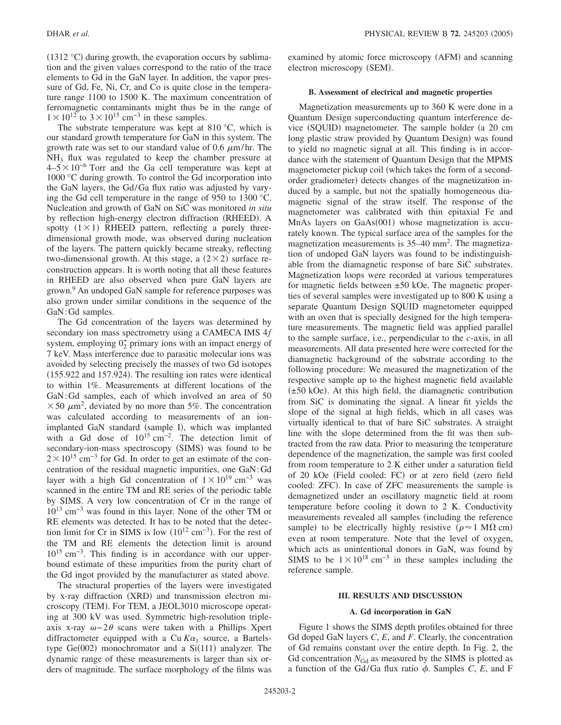(1312 °C) during growth, the evaporation occurs by sublimation and the given values correspond to the ratio of the trace elements to Gd in the GaN layer. In addition, the vapor pressure of Gd, Fe, Ni, Cr, and Co is quite close in the temperature range 1100 to 1500 K. The maximum concentration of ferromagnetic contaminants might thus be in the range of  $1 \times 10^{12}$  to  $3 \times 10^{15}$  cm<sup>-3</sup> in these samples.

The substrate temperature was kept at 810 °C, which is our standard growth temperature for GaN in this system. The growth rate was set to our standard value of 0.6  $\mu$ m/hr. The  $NH<sub>3</sub>$  flux was regulated to keep the chamber pressure at  $4-5\times10^{-6}$  Torr and the Ga cell temperature was kept at 1000 °C during growth. To control the Gd incorporation into the GaN layers, the Gd/Ga flux ratio was adjusted by varying the Gd cell temperature in the range of 950 to 1300 °C. Nucleation and growth of GaN on SiC was monitored *in situ* by reflection high-energy electron diffraction (RHEED). A spotty  $(1 \times 1)$  RHEED pattern, reflecting a purely threedimensional growth mode, was observed during nucleation of the layers. The pattern quickly became streaky, reflecting two-dimensional growth. At this stage, a  $(2 \times 2)$  surface reconstruction appears. It is worth noting that all these features in RHEED are also observed when pure GaN layers are grown.<sup>9</sup> An undoped GaN sample for reference purposes was also grown under similar conditions in the sequence of the GaN:Gd samples.

The Gd concentration of the layers was determined by secondary ion mass spectrometry using a CAMECA IMS 4*f* system, employing  $0_2^+$  primary ions with an impact energy of 7 keV. Mass interference due to parasitic molecular ions was avoided by selecting precisely the masses of two Gd isotopes  $(155.922$  and  $157.924$ ). The resulting ion rates were identical to within 1%. Measurements at different locations of the GaN:Gd samples, each of which involved an area of 50  $\times$  50  $\mu$ m<sup>2</sup>, deviated by no more than 5%. The concentration was calculated according to measurements of an ionimplanted GaN standard (sample I), which was implanted with a Gd dose of  $10^{15}$  cm<sup>-2</sup>. The detection limit of secondary-ion-mass spectroscopy (SIMS) was found to be  $2 \times 10^{15}$  cm<sup>-3</sup> for Gd. In order to get an estimate of the concentration of the residual magnetic impurities, one GaN:Gd layer with a high Gd concentration of  $1 \times 10^{19}$  cm<sup>-3</sup> was scanned in the entire TM and RE series of the periodic table by SIMS. A very low concentration of Cr in the range of 10<sup>13</sup> cm−3 was found in this layer. None of the other TM or RE elements was detected. It has to be noted that the detection limit for Cr in SIMS is low  $(10^{12} \text{ cm}^{-3})$ . For the rest of the TM and RE elements the detection limit is around 1015 cm−3. This finding is in accordance with our upperbound estimate of these impurities from the purity chart of the Gd ingot provided by the manufacturer as stated above.

The structural properties of the layers were investigated by x-ray diffraction (XRD) and transmission electron microscopy (TEM). For TEM, a JEOL3010 microscope operating at 300 kV was used. Symmetric high-resolution tripleaxis x-ray  $\omega - 2\theta$  scans were taken with a Phillips Xpert diffractometer equipped with a Cu  $K\alpha_1$  source, a Bartelstype Ge(002) monochromator and a Si(111) analyzer. The dynamic range of these measurements is larger than six orders of magnitude. The surface morphology of the films was examined by atomic force microscopy (AFM) and scanning electron microscopy (SEM).

#### **B. Assessment of electrical and magnetic properties**

Magnetization measurements up to 360 K were done in a Quantum Design superconducting quantum interference device (SQUID) magnetometer. The sample holder (a 20 cm long plastic straw provided by Quantum Design) was found to yield no magnetic signal at all. This finding is in accordance with the statement of Quantum Design that the MPMS magnetometer pickup coil (which takes the form of a secondorder gradiometer) detects changes of the magnetization induced by a sample, but not the spatially homogeneous diamagnetic signal of the straw itself. The response of the magnetometer was calibrated with thin epitaxial Fe and MnAs layers on GaAs(001) whose magnetization is accurately known. The typical surface area of the samples for the magnetization measurements is 35–40 mm<sup>2</sup>. The magnetization of undoped GaN layers was found to be indistinguishable from the diamagnetic response of bare SiC substrates. Magnetization loops were recorded at various temperatures for magnetic fields between  $\pm 50$  kOe. The magnetic properties of several samples were investigated up to 800 K using a separate Quantum Design SQUID magnetometer equipped with an oven that is specially designed for the high temperature measurements. The magnetic field was applied parallel to the sample surface, i.e., perpendicular to the *c*-axis, in all measurements. All data presented here were corrected for the diamagnetic background of the substrate according to the following procedure: We measured the magnetization of the respective sample up to the highest magnetic field available  $(\pm 50 \text{ kOe})$ . At this high field, the diamagnetic contribution from SiC is dominating the signal. A linear fit yields the slope of the signal at high fields, which in all cases was virtually identical to that of bare SiC substrates. A straight line with the slope determined from the fit was then subtracted from the raw data. Prior to measuring the temperature dependence of the magnetization, the sample was first cooled from room temperature to 2 K either under a saturation field of 20 kOe (Field cooled: FC) or at zero field (zero field cooled: ZFC). In case of ZFC measurements the sample is demagnetized under an oscillatory magnetic field at room temperature before cooling it down to 2 K. Conductivity measurements revealed all samples (including the reference sample) to be electrically highly resistive ( $\rho \approx 1 \text{ M}\Omega \text{ cm}$ ) even at room temperature. Note that the level of oxygen, which acts as unintentional donors in GaN, was found by SIMS to be  $1\times10^{18}$  cm<sup>-3</sup> in these samples including the reference sample.

## **III. RESULTS AND DISCUSSION**

## **A. Gd incorporation in GaN**

Figure 1 shows the SIMS depth profiles obtained for three Gd doped GaN layers *C*, *E*, and *F*. Clearly, the concentration of Gd remains constant over the entire depth. In Fig. 2, the Gd concentration  $N_{\text{Gd}}$  as measured by the SIMS is plotted as a function of the Gd/Ga flux ratio  $\phi$ . Samples *C*, *E*, and F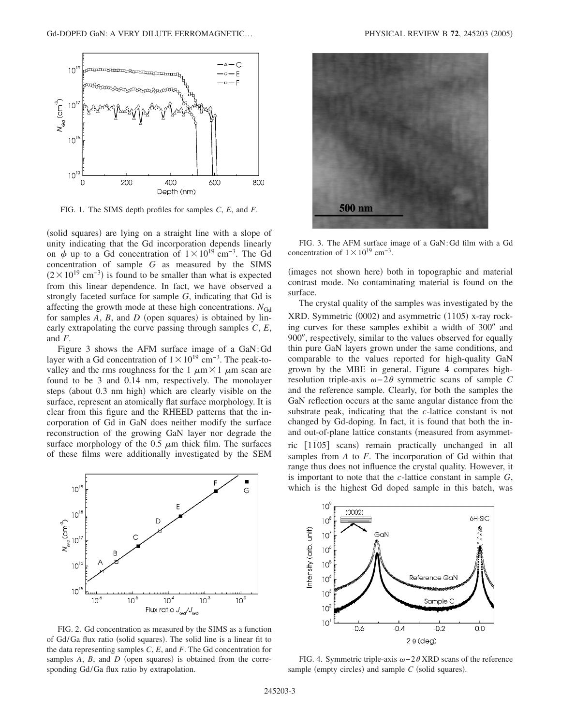

FIG. 1. The SIMS depth profiles for samples *C*, *E*, and *F*.

(solid squares) are lying on a straight line with a slope of unity indicating that the Gd incorporation depends linearly on  $\phi$  up to a Gd concentration of  $1 \times 10^{19}$  cm<sup>-3</sup>. The Gd concentration of sample *G* as measured by the SIMS  $(2 \times 10^{19} \text{ cm}^{-3})$  is found to be smaller than what is expected from this linear dependence. In fact, we have observed a strongly faceted surface for sample *G*, indicating that Gd is affecting the growth mode at these high concentrations.  $N_{\text{Gd}}$ for samples  $A$ ,  $B$ , and  $D$  (open squares) is obtained by linearly extrapolating the curve passing through samples *C*, *E*, and *F*.

Figure 3 shows the AFM surface image of a GaN:Gd layer with a Gd concentration of  $1 \times 10^{19}$  cm<sup>-3</sup>. The peak-tovalley and the rms roughness for the 1  $\mu$ m × 1  $\mu$ m scan are found to be 3 and 0.14 nm, respectively. The monolayer steps (about 0.3 nm high) which are clearly visible on the surface, represent an atomically flat surface morphology. It is clear from this figure and the RHEED patterns that the incorporation of Gd in GaN does neither modify the surface reconstruction of the growing GaN layer nor degrade the surface morphology of the  $0.5 \mu m$  thick film. The surfaces of these films were additionally investigated by the SEM



FIG. 2. Gd concentration as measured by the SIMS as a function of Gd/Ga flux ratio (solid squares). The solid line is a linear fit to the data representing samples *C*, *E*, and *F*. The Gd concentration for samples  $A$ ,  $B$ , and  $D$  (open squares) is obtained from the corresponding Gd/Ga flux ratio by extrapolation.



FIG. 3. The AFM surface image of a GaN:Gd film with a Gd concentration of  $1 \times 10^{19}$  cm<sup>-3</sup>.

(images not shown here) both in topographic and material contrast mode. No contaminating material is found on the surface.

The crystal quality of the samples was investigated by the XRD. Symmetric (0002) and asymmetric (1<sup>1</sup><sup>05</sup>) x-ray rocking curves for these samples exhibit a width of 300" and 900", respectively, similar to the values observed for equally thin pure GaN layers grown under the same conditions, and comparable to the values reported for high-quality GaN grown by the MBE in general. Figure 4 compares highresolution triple-axis  $\omega - 2\theta$  symmetric scans of sample *C* and the reference sample. Clearly, for both the samples the GaN reflection occurs at the same angular distance from the substrate peak, indicating that the *c*-lattice constant is not changed by Gd-doping. In fact, it is found that both the inand out-of-plane lattice constants (measured from asymmet-

ric [1<sup>1</sup>05] scans) remain practically unchanged in all samples from *A* to *F*. The incorporation of Gd within that range thus does not influence the crystal quality. However, it is important to note that the *c*-lattice constant in sample *G*, which is the highest Gd doped sample in this batch, was



FIG. 4. Symmetric triple-axis  $\omega - 2\theta$  XRD scans of the reference sample (empty circles) and sample  $C$  (solid squares).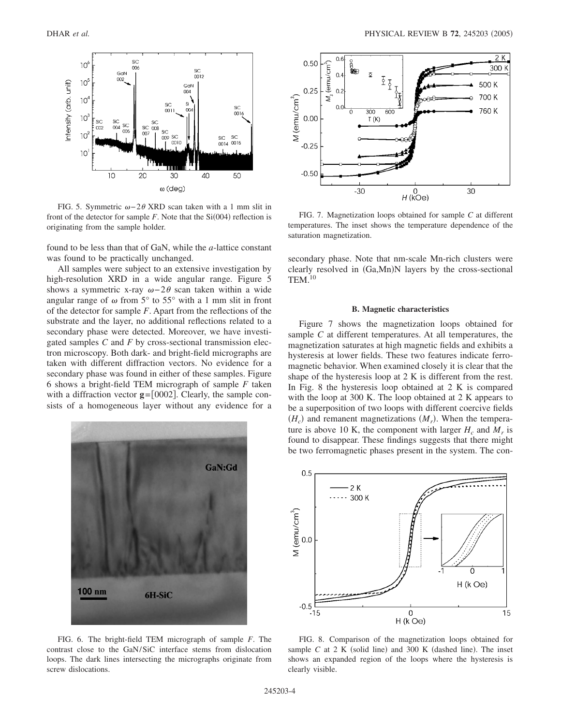

FIG. 5. Symmetric  $\omega - 2\theta$  XRD scan taken with a 1 mm slit in front of the detector for sample  $F$ . Note that the  $Si(004)$  reflection is originating from the sample holder.

found to be less than that of GaN, while the *a*-lattice constant was found to be practically unchanged.

All samples were subject to an extensive investigation by high-resolution XRD in a wide angular range. Figure 5 shows a symmetric x-ray  $\omega - 2\theta$  scan taken within a wide angular range of  $\omega$  from 5° to 55° with a 1 mm slit in front of the detector for sample *F*. Apart from the reflections of the substrate and the layer, no additional reflections related to a secondary phase were detected. Moreover, we have investigated samples *C* and *F* by cross-sectional transmission electron microscopy. Both dark- and bright-field micrographs are taken with different diffraction vectors. No evidence for a secondary phase was found in either of these samples. Figure 6 shows a bright-field TEM micrograph of sample *F* taken with a diffraction vector  $g = [0002]$ . Clearly, the sample consists of a homogeneous layer without any evidence for a



FIG. 6. The bright-field TEM micrograph of sample *F*. The contrast close to the GaN/SiC interface stems from dislocation loops. The dark lines intersecting the micrographs originate from screw dislocations.



FIG. 7. Magnetization loops obtained for sample *C* at different temperatures. The inset shows the temperature dependence of the saturation magnetization.

secondary phase. Note that nm-scale Mn-rich clusters were clearly resolved in (Ga,Mn)N layers by the cross-sectional TEM.<sup>10</sup>

#### **B. Magnetic characteristics**

Figure 7 shows the magnetization loops obtained for sample *C* at different temperatures. At all temperatures, the magnetization saturates at high magnetic fields and exhibits a hysteresis at lower fields. These two features indicate ferromagnetic behavior. When examined closely it is clear that the shape of the hysteresis loop at 2 K is different from the rest. In Fig. 8 the hysteresis loop obtained at 2 K is compared with the loop at 300 K. The loop obtained at 2 K appears to be a superposition of two loops with different coercive fields  $(H_c)$  and remanent magnetizations  $(M_r)$ . When the temperature is above 10 K, the component with larger  $H_c$  and  $M_r$  is found to disappear. These findings suggests that there might be two ferromagnetic phases present in the system. The con-



FIG. 8. Comparison of the magnetization loops obtained for sample  $C$  at  $2 K$  (solid line) and 300 K (dashed line). The inset shows an expanded region of the loops where the hysteresis is clearly visible.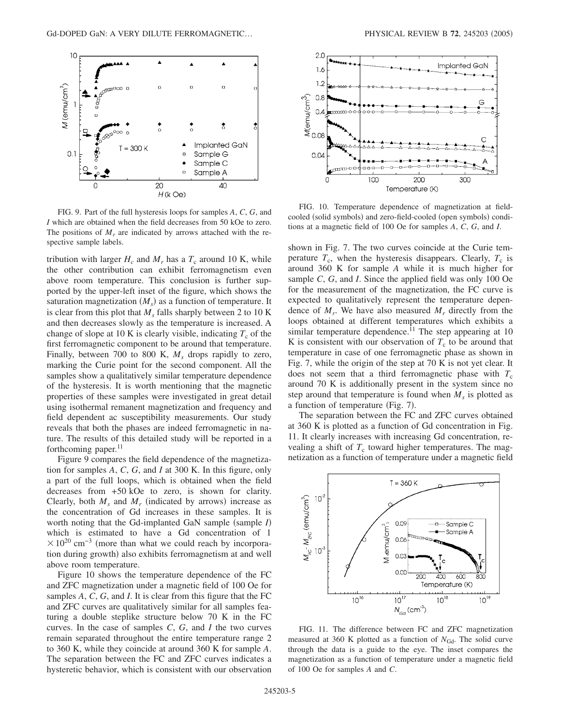

FIG. 9. Part of the full hysteresis loops for samples *A*, *C*, *G*, and *I* which are obtained when the field decreases from 50 kOe to zero. The positions of  $M_r$  are indicated by arrows attached with the respective sample labels.

tribution with larger  $H_c$  and  $M_r$  has a  $T_c$  around 10 K, while the other contribution can exhibit ferromagnetism even above room temperature. This conclusion is further supported by the upper-left inset of the figure, which shows the saturation magnetization  $(M<sub>s</sub>)$  as a function of temperature. It is clear from this plot that  $M_s$  falls sharply between 2 to 10 K and then decreases slowly as the temperature is increased. A change of slope at 10 K is clearly visible, indicating  $T_c$  of the first ferromagnetic component to be around that temperature. Finally, between 700 to 800 K,  $M<sub>s</sub>$  drops rapidly to zero, marking the Curie point for the second component. All the samples show a qualitatively similar temperature dependence of the hysteresis. It is worth mentioning that the magnetic properties of these samples were investigated in great detail using isothermal remanent magnetization and frequency and field dependent ac susceptibility measurements. Our study reveals that both the phases are indeed ferromagnetic in nature. The results of this detailed study will be reported in a forthcoming paper. $^{11}$ 

Figure 9 compares the field dependence of the magnetization for samples *A*, *C*, *G*, and *I* at 300 K. In this figure, only a part of the full loops, which is obtained when the field decreases from +50 kOe to zero, is shown for clarity. Clearly, both  $M_s$  and  $M_r$  (indicated by arrows) increase as the concentration of Gd increases in these samples. It is worth noting that the Gd-implanted GaN sample (sample *I*) which is estimated to have a Gd concentration of 1  $10^{20}$  cm<sup>-3</sup> (more than what we could reach by incorporation during growth) also exhibits ferromagnetism at and well above room temperature.

Figure 10 shows the temperature dependence of the FC and ZFC magnetization under a magnetic field of 100 Oe for samples *A*, *C*, *G*, and *I*. It is clear from this figure that the FC and ZFC curves are qualitatively similar for all samples featuring a double steplike structure below 70 K in the FC curves. In the case of samples *C*, *G*, and *I* the two curves remain separated throughout the entire temperature range 2 to 360 K, while they coincide at around 360 K for sample *A*. The separation between the FC and ZFC curves indicates a hysteretic behavior, which is consistent with our observation



FIG. 10. Temperature dependence of magnetization at fieldcooled (solid symbols) and zero-field-cooled (open symbols) conditions at a magnetic field of 100 Oe for samples *A*, *C*, *G*, and *I*.

shown in Fig. 7. The two curves coincide at the Curie temperature  $T_c$ , when the hysteresis disappears. Clearly,  $T_c$  is around 360 K for sample *A* while it is much higher for sample *C*, *G*, and *I*. Since the applied field was only 100 Oe for the measurement of the magnetization, the FC curve is expected to qualitatively represent the temperature dependence of  $M_r$ . We have also measured  $M_r$  directly from the loops obtained at different temperatures which exhibits a similar temperature dependence.<sup>11</sup> The step appearing at  $10$ K is consistent with our observation of  $T_c$  to be around that temperature in case of one ferromagnetic phase as shown in Fig. 7, while the origin of the step at 70 K is not yet clear. It does not seem that a third ferromagnetic phase with  $T_c$ around 70 K is additionally present in the system since no step around that temperature is found when  $M<sub>s</sub>$  is plotted as a function of temperature (Fig. 7).

The separation between the FC and ZFC curves obtained at 360 K is plotted as a function of Gd concentration in Fig. 11. It clearly increases with increasing Gd concentration, revealing a shift of  $T_c$  toward higher temperatures. The magnetization as a function of temperature under a magnetic field



FIG. 11. The difference between FC and ZFC magnetization measured at 360 K plotted as a function of  $N_{\text{Gd}}$ . The solid curve through the data is a guide to the eye. The inset compares the magnetization as a function of temperature under a magnetic field of 100 Oe for samples *A* and *C*.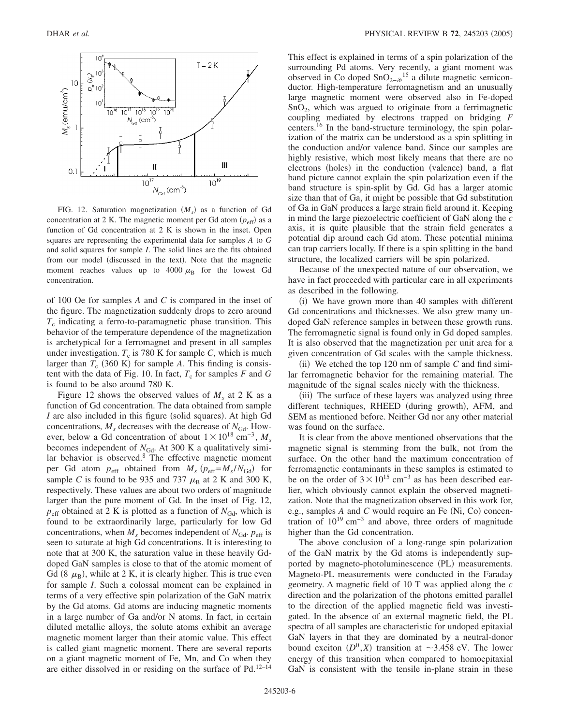

FIG. 12. Saturation magnetization  $(M<sub>s</sub>)$  as a function of Gd concentration at 2 K. The magnetic moment per Gd atom  $(p_{\text{eff}})$  as a function of Gd concentration at 2 K is shown in the inset. Open squares are representing the experimental data for samples *A* to *G* and solid squares for sample *I*. The solid lines are the fits obtained from our model (discussed in the text). Note that the magnetic moment reaches values up to  $4000 \mu_{\rm B}$  for the lowest Gd concentration.

of 100 Oe for samples *A* and *C* is compared in the inset of the figure. The magnetization suddenly drops to zero around  $T_c$  indicating a ferro-to-paramagnetic phase transition. This behavior of the temperature dependence of the magnetization is archetypical for a ferromagnet and present in all samples under investigation.  $T_c$  is 780 K for sample *C*, which is much larger than  $T_c$  (360 K) for sample  $A$ . This finding is consistent with the data of Fig. 10. In fact,  $T_c$  for samples  $F$  and  $G$ is found to be also around 780 K.

Figure 12 shows the observed values of  $M<sub>s</sub>$  at 2 K as a function of Gd concentration. The data obtained from sample *I* are also included in this figure (solid squares). At high Gd concentrations,  $M_s$  decreases with the decrease of  $N_{\text{Gd}}$ . However, below a Gd concentration of about  $1 \times 10^{18}$  cm<sup>-3</sup>,  $M_s$ becomes independent of  $N_{\text{Gd}}$ . At 300 K a qualitatively similar behavior is observed.<sup>8</sup> The effective magnetic moment per Gd atom  $p_{\text{eff}}$  obtained from  $M_s (p_{\text{eff}} = M_s / N_{\text{Gd}})$  for sample *C* is found to be 935 and 737  $\mu$ <sub>B</sub> at 2 K and 300 K, respectively. These values are about two orders of magnitude larger than the pure moment of Gd. In the inset of Fig. 12,  $p_{\text{eff}}$  obtained at 2 K is plotted as a function of  $N_{\text{Gd}}$ , which is found to be extraordinarily large, particularly for low Gd concentrations, when  $M_s$  becomes independent of  $N_{\text{Gd}}$ .  $p_{\text{eff}}$  is seen to saturate at high Gd concentrations. It is interesting to note that at 300 K, the saturation value in these heavily Gddoped GaN samples is close to that of the atomic moment of Gd  $(8 \mu_B)$ , while at 2 K, it is clearly higher. This is true even for sample *I*. Such a colossal moment can be explained in terms of a very effective spin polarization of the GaN matrix by the Gd atoms. Gd atoms are inducing magnetic moments in a large number of Ga and/or N atoms. In fact, in certain diluted metallic alloys, the solute atoms exhibit an average magnetic moment larger than their atomic value. This effect is called giant magnetic moment. There are several reports on a giant magnetic moment of Fe, Mn, and Co when they are either dissolved in or residing on the surface of Pd.<sup>12–14</sup> This effect is explained in terms of a spin polarization of the surrounding Pd atoms. Very recently, a giant moment was observed in Co doped  $\text{SnO}_{2-\delta}^{15}$  a dilute magnetic semiconductor. High-temperature ferromagnetism and an unusually large magnetic moment were observed also in Fe-doped  $SnO<sub>2</sub>$ , which was argued to originate from a ferrimagnetic coupling mediated by electrons trapped on bridging *F* centers.16 In the band-structure terminology, the spin polarization of the matrix can be understood as a spin splitting in the conduction and/or valence band. Since our samples are highly resistive, which most likely means that there are no electrons (holes) in the conduction (valence) band, a flat band picture cannot explain the spin polarization even if the band structure is spin-split by Gd. Gd has a larger atomic size than that of Ga, it might be possible that Gd substitution of Ga in GaN produces a large strain field around it. Keeping in mind the large piezoelectric coefficient of GaN along the *c* axis, it is quite plausible that the strain field generates a potential dip around each Gd atom. These potential minima can trap carriers locally. If there is a spin splitting in the band structure, the localized carriers will be spin polarized.

Because of the unexpected nature of our observation, we have in fact proceeded with particular care in all experiments as described in the following.

(i) We have grown more than 40 samples with different Gd concentrations and thicknesses. We also grew many undoped GaN reference samples in between these growth runs. The ferromagnetic signal is found only in Gd doped samples. It is also observed that the magnetization per unit area for a given concentration of Gd scales with the sample thickness.

(ii) We etched the top  $120$  nm of sample  $C$  and find similar ferromagnetic behavior for the remaining material. The magnitude of the signal scales nicely with the thickness.

(iii) The surface of these layers was analyzed using three different techniques, RHEED (during growth), AFM, and SEM as mentioned before. Neither Gd nor any other material was found on the surface.

It is clear from the above mentioned observations that the magnetic signal is stemming from the bulk, not from the surface. On the other hand the maximum concentration of ferromagnetic contaminants in these samples is estimated to be on the order of  $3 \times 10^{15}$  cm<sup>-3</sup> as has been described earlier, which obviously cannot explain the observed magnetization. Note that the magnetization observed in this work for, e.g., samples A and C would require an Fe (Ni, Co) concentration of 1019 cm−3 and above, three orders of magnitude higher than the Gd concentration.

The above conclusion of a long-range spin polarization of the GaN matrix by the Gd atoms is independently supported by magneto-photoluminescence (PL) measurements. Magneto-PL measurements were conducted in the Faraday geometry. A magnetic field of 10 T was applied along the *c* direction and the polarization of the photons emitted parallel to the direction of the applied magnetic field was investigated. In the absence of an external magnetic field, the PL spectra of all samples are characteristic for undoped epitaxial GaN layers in that they are dominated by a neutral-donor bound exciton  $(D^0, X)$  transition at  $\sim$ 3.458 eV. The lower energy of this transition when compared to homoepitaxial GaN is consistent with the tensile in-plane strain in these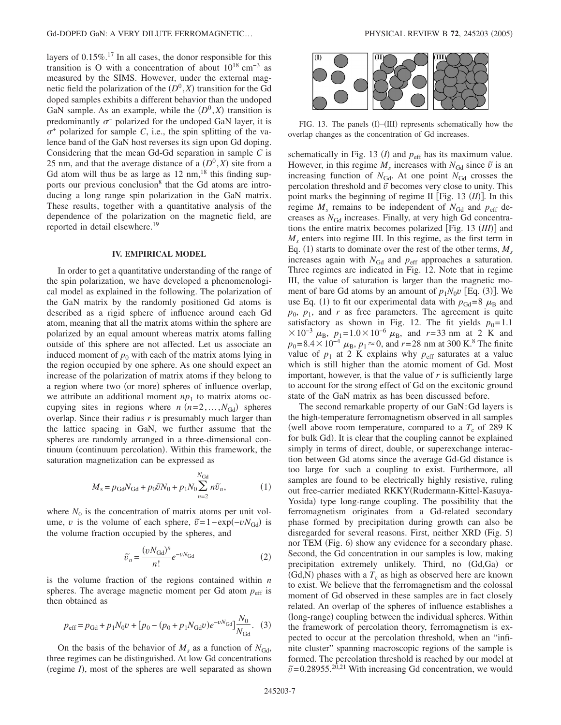layers of  $0.15\%$ .<sup>17</sup> In all cases, the donor responsible for this transition is O with a concentration of about  $10^{18}$  cm<sup>-3</sup> as measured by the SIMS. However, under the external magnetic field the polarization of the  $(D^0, X)$  transition for the Gd doped samples exhibits a different behavior than the undoped GaN sample. As an example, while the  $(D^0, X)$  transition is predominantly  $\sigma^-$  polarized for the undoped GaN layer, it is  $\sigma^+$  polarized for sample *C*, i.e., the spin splitting of the valence band of the GaN host reverses its sign upon Gd doping. Considering that the mean Gd-Gd separation in sample *C* is 25 nm, and that the average distance of a  $(D^0, X)$  site from a Gd atom will thus be as large as  $12 \text{ nm}$ ,<sup>18</sup> this finding supports our previous conclusion<sup>8</sup> that the Gd atoms are introducing a long range spin polarization in the GaN matrix. These results, together with a quantitative analysis of the dependence of the polarization on the magnetic field, are reported in detail elsewhere.<sup>19</sup>

#### **IV. EMPIRICAL MODEL**

In order to get a quantitative understanding of the range of the spin polarization, we have developed a phenomenological model as explained in the following. The polarization of the GaN matrix by the randomly positioned Gd atoms is described as a rigid sphere of influence around each Gd atom, meaning that all the matrix atoms within the sphere are polarized by an equal amount whereas matrix atoms falling outside of this sphere are not affected. Let us associate an induced moment of  $p_0$  with each of the matrix atoms lying in the region occupied by one sphere. As one should expect an increase of the polarization of matrix atoms if they belong to a region where two (or more) spheres of influence overlap, we attribute an additional moment  $np_1$  to matrix atoms occupying sites in regions where  $n(n=2,...,N_{\text{Gd}})$  spheres overlap. Since their radius  $r$  is presumably much larger than the lattice spacing in GaN, we further assume that the spheres are randomly arranged in a three-dimensional continuum (continuum percolation). Within this framework, the saturation magnetization can be expressed as

$$
M_{\rm s} = p_{\rm Gd} N_{\rm Gd} + p_0 \tilde{\nu} N_0 + p_1 N_0 \sum_{n=2}^{N_{\rm Gd}} n \tilde{\nu}_n, \tag{1}
$$

where  $N_0$  is the concentration of matrix atoms per unit volume, *v* is the volume of each sphere,  $\tilde{v} = 1 - \exp(-vN_{\text{Gd}})$  is the volume fraction occupied by the spheres, and

$$
\widetilde{v}_n = \frac{(vN_{\text{Gd}})^n}{n!} e^{-vN_{\text{Gd}}}
$$
\n(2)

is the volume fraction of the regions contained within *n* spheres. The average magnetic moment per Gd atom  $p_{\text{eff}}$  is then obtained as

$$
p_{\text{eff}} = p_{\text{Gd}} + p_1 N_0 v + [p_0 - (p_0 + p_1 N_{\text{Gd}} v) e^{-v N_{\text{Gd}}}] \frac{N_0}{N_{\text{Gd}}}.
$$
 (3)

On the basis of the behavior of  $M_s$  as a function of  $N_{\text{Gd}}$ , three regimes can be distinguished. At low Gd concentrations (regime *I*), most of the spheres are well separated as shown



FIG. 13. The panels (I)–(III) represents schematically how the overlap changes as the concentration of Gd increases.

schematically in Fig. 13  $(I)$  and  $p_{\text{eff}}$  has its maximum value. However, in this regime  $M_s$  increases with  $N_{\text{Gd}}$  since  $\tilde{v}$  is an increasing function of  $N_{\text{Gd}}$ . At one point  $N_{\text{Gd}}$  crosses the percolation threshold and  $\tilde{v}$  becomes very close to unity. This point marks the beginning of regime II [Fig. 13 (II)]. In this regime  $M_s$  remains to be independent of  $N_{\text{Gd}}$  and  $p_{\text{eff}}$  decreases as  $N_{\text{Gd}}$  increases. Finally, at very high Gd concentrations the entire matrix becomes polarized [Fig. 13 (III)] and *Ms* enters into regime III. In this regime, as the first term in Eq. (1) starts to dominate over the rest of the other terms,  $M_s$ increases again with  $N_{\text{Gd}}$  and  $p_{\text{eff}}$  approaches a saturation. Three regimes are indicated in Fig. 12. Note that in regime III, the value of saturation is larger than the magnetic moment of bare Gd atoms by an amount of  $p_1N_0v$  [Eq. (3)]. We use Eq. (1) to fit our experimental data with  $p_{\text{Gd}}=8$   $\mu_{\text{B}}$  and  $p_0$ ,  $p_1$ , and  $r$  as free parameters. The agreement is quite satisfactory as shown in Fig. 12. The fit yields  $p_0=1.1$  $\times 10^{-3} \mu_{\text{B}}$ ,  $p_1 = 1.0 \times 10^{-6} \mu_{\text{B}}$ , and  $r = 33$  nm at 2 K and  $p_0 = 8.4 \times 10^{-4} \mu_B$ ,  $p_1 \approx 0$ , and  $r = 28$  nm at 300 K.<sup>8</sup> The finite value of  $p_1$  at 2 K explains why  $p_{\text{eff}}$  saturates at a value which is still higher than the atomic moment of Gd. Most important, however, is that the value of  $r$  is sufficiently large to account for the strong effect of Gd on the excitonic ground state of the GaN matrix as has been discussed before.

The second remarkable property of our GaN:Gd layers is the high-temperature ferromagnetism observed in all samples (well above room temperature, compared to a  $T_c$  of 289 K for bulk Gd). It is clear that the coupling cannot be explained simply in terms of direct, double, or superexchange interaction between Gd atoms since the average Gd-Gd distance is too large for such a coupling to exist. Furthermore, all samples are found to be electrically highly resistive, ruling out free-carrier mediated RKKY(Rudermann-Kittel-Kasuya-Yosida) type long-range coupling. The possibility that the ferromagnetism originates from a Gd-related secondary phase formed by precipitation during growth can also be disregarded for several reasons. First, neither XRD (Fig. 5) nor TEM (Fig. 6) show any evidence for a secondary phase. Second, the Gd concentration in our samples is low, making precipitation extremely unlikely. Third, no (Gd,Ga) or (Gd,N) phases with a  $T_c$  as high as observed here are known to exist. We believe that the ferromagnetism and the colossal moment of Gd observed in these samples are in fact closely related. An overlap of the spheres of influence establishes a (long-range) coupling between the individual spheres. Within the framework of percolation theory, ferromagnetism is expected to occur at the percolation threshold, when an "infinite cluster" spanning macroscopic regions of the sample is formed. The percolation threshold is reached by our model at  $\tilde{v}$ =0.28955.<sup>20,21</sup> With increasing Gd concentration, we would

*N*0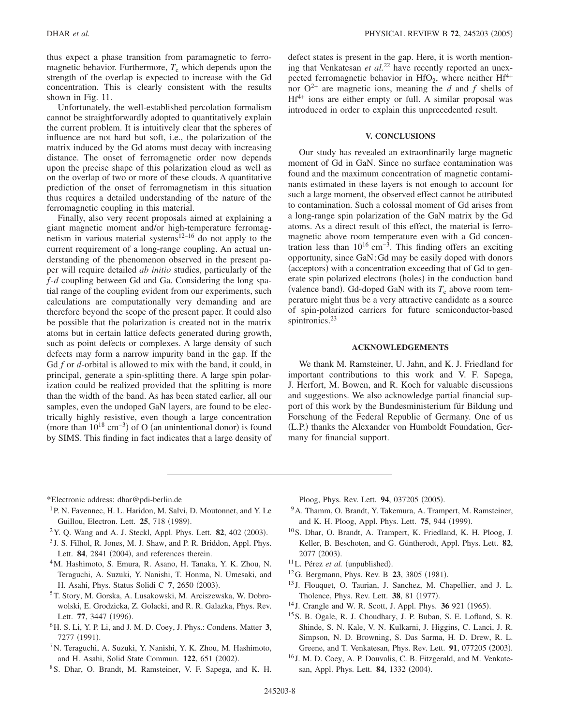thus expect a phase transition from paramagnetic to ferromagnetic behavior. Furthermore,  $T_c$  which depends upon the strength of the overlap is expected to increase with the Gd concentration. This is clearly consistent with the results shown in Fig. 11.

Unfortunately, the well-established percolation formalism cannot be straightforwardly adopted to quantitatively explain the current problem. It is intuitively clear that the spheres of influence are not hard but soft, i.e., the polarization of the matrix induced by the Gd atoms must decay with increasing distance. The onset of ferromagnetic order now depends upon the precise shape of this polarization cloud as well as on the overlap of two or more of these clouds. A quantitative prediction of the onset of ferromagnetism in this situation thus requires a detailed understanding of the nature of the ferromagnetic coupling in this material.

Finally, also very recent proposals aimed at explaining a giant magnetic moment and/or high-temperature ferromagnetism in various material systems $12-16$  do not apply to the current requirement of a long-range coupling. An actual understanding of the phenomenon observed in the present paper will require detailed *ab initio* studies, particularly of the *f*-*d* coupling between Gd and Ga. Considering the long spatial range of the coupling evident from our experiments, such calculations are computationally very demanding and are therefore beyond the scope of the present paper. It could also be possible that the polarization is created not in the matrix atoms but in certain lattice defects generated during growth, such as point defects or complexes. A large density of such defects may form a narrow impurity band in the gap. If the Gd *f* or *d*-orbital is allowed to mix with the band, it could, in principal, generate a spin-splitting there. A large spin polarization could be realized provided that the splitting is more than the width of the band. As has been stated earlier, all our samples, even the undoped GaN layers, are found to be electrically highly resistive, even though a large concentration (more than  $10^{18}$  cm<sup>-3</sup>) of O (an unintentional donor) is found by SIMS. This finding in fact indicates that a large density of defect states is present in the gap. Here, it is worth mentioning that Venkatesan et al.<sup>22</sup> have recently reported an unexpected ferromagnetic behavior in HfO<sub>2</sub>, where neither  $Hf^{4+}$ nor  $Q^{2+}$  are magnetic ions, meaning the *d* and *f* shells of  $Hf^{4+}$  ions are either empty or full. A similar proposal was introduced in order to explain this unprecedented result.

## **V. CONCLUSIONS**

Our study has revealed an extraordinarily large magnetic moment of Gd in GaN. Since no surface contamination was found and the maximum concentration of magnetic contaminants estimated in these layers is not enough to account for such a large moment, the observed effect cannot be attributed to contamination. Such a colossal moment of Gd arises from a long-range spin polarization of the GaN matrix by the Gd atoms. As a direct result of this effect, the material is ferromagnetic above room temperature even with a Gd concentration less than  $10^{16}$  cm<sup>-3</sup>. This finding offers an exciting opportunity, since GaN:Gd may be easily doped with donors (acceptors) with a concentration exceeding that of Gd to generate spin polarized electrons (holes) in the conduction band (valence band). Gd-doped GaN with its  $T_c$  above room temperature might thus be a very attractive candidate as a source of spin-polarized carriers for future semiconductor-based spintronics.<sup>23</sup>

#### **ACKNOWLEDGEMENTS**

We thank M. Ramsteiner, U. Jahn, and K. J. Friedland for important contributions to this work and V. F. Sapega, J. Herfort, M. Bowen, and R. Koch for valuable discussions and suggestions. We also acknowledge partial financial support of this work by the Bundesministerium für Bildung und Forschung of the Federal Republic of Germany. One of us (L.P.) thanks the Alexander von Humboldt Foundation, Germany for financial support.

\*Electronic address: dhar@pdi-berlin.de

- <sup>1</sup>P. N. Favennec, H. L. Haridon, M. Salvi, D. Moutonnet, and Y. Le Guillou, Electron. Lett. **25**, 718 (1989).
- $2$  Y. Q. Wang and A. J. Steckl, Appl. Phys. Lett. **82**, 402 (2003).
- <sup>3</sup> J. S. Filhol, R. Jones, M. J. Shaw, and P. R. Briddon, Appl. Phys. Lett. 84, 2841 (2004), and references therein.
- 4M. Hashimoto, S. Emura, R. Asano, H. Tanaka, Y. K. Zhou, N. Teraguchi, A. Suzuki, Y. Nanishi, T. Honma, N. Umesaki, and H. Asahi, Phys. Status Solidi C 7, 2650 (2003).
- 5T. Story, M. Gorska, A. Lusakowski, M. Arciszewska, W. Dobrowolski, E. Grodzicka, Z. Golacki, and R. R. Galazka, Phys. Rev. Lett. 77, 3447 (1996).
- 6H. S. Li, Y. P. Li, and J. M. D. Coey, J. Phys.: Condens. Matter **3**, 7277 (1991).
- 7N. Teraguchi, A. Suzuki, Y. Nanishi, Y. K. Zhou, M. Hashimoto, and H. Asahi, Solid State Commun. 122, 651 (2002).
- 8S. Dhar, O. Brandt, M. Ramsteiner, V. F. Sapega, and K. H.

Ploog, Phys. Rev. Lett. 94, 037205 (2005).

- <sup>9</sup>A. Thamm, O. Brandt, Y. Takemura, A. Trampert, M. Ramsteiner, and K. H. Ploog, Appl. Phys. Lett. **75**, 944 (1999).
- 10S. Dhar, O. Brandt, A. Trampert, K. Friedland, K. H. Ploog, J. Keller, B. Beschoten, and G. Güntherodt, Appl. Phys. Lett. **82**, 2077 (2003).
- <sup>11</sup>L. Pérez et al. (unpublished).
- <sup>12</sup>G. Bergmann, Phys. Rev. B **23**, 3805 (1981).
- <sup>13</sup> J. Flouquet, O. Taurian, J. Sanchez, M. Chapellier, and J. L. Tholence, Phys. Rev. Lett. 38, 81 (1977).
- <sup>14</sup> J. Crangle and W. R. Scott, J. Appl. Phys. **36** 921 (1965).
- 15S. B. Ogale, R. J. Choudhary, J. P. Buban, S. E. Lofland, S. R. Shinde, S. N. Kale, V. N. Kulkarni, J. Higgins, C. Lanci, J. R. Simpson, N. D. Browning, S. Das Sarma, H. D. Drew, R. L. Greene, and T. Venkatesan, Phys. Rev. Lett. 91, 077205 (2003).
- <sup>16</sup> J. M. D. Coey, A. P. Douvalis, C. B. Fitzgerald, and M. Venkatesan, Appl. Phys. Lett. **84**, 1332 (2004).